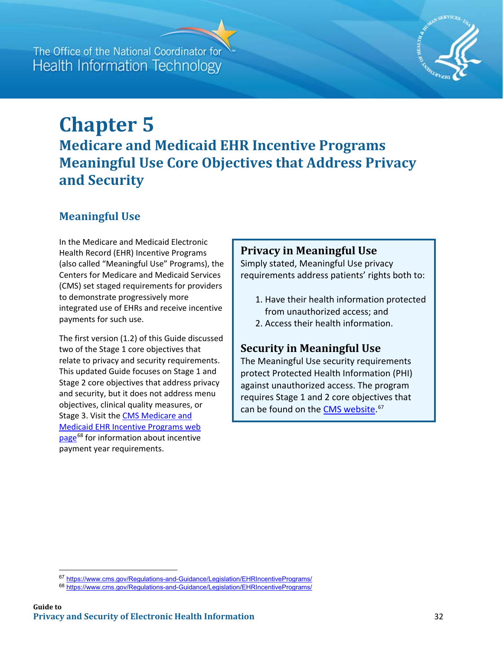## The Office of the National Coordinator for **Health Information Technology**



# **Chapter 5 Medicare and Medicaid EHR Incentive Programs Meaningful Use Core Objectives that Address Privacy and Security**

## **Meaningful Use**

In the Medicare and Medicaid Electronic Health Record (EHR) Incentive Programs (also called "Meaningful Use" Programs), the Centers for Medicare and Medicaid Services (CMS) set staged requirements for providers to demonstrate progressively more integrated use of EHRs and receive incentive payments for such use.

The first version (1.2) of this Guide discussed two of the Stage 1 core objectives that relate to privacy and security requirements. This updated Guide focuses on Stage 1 and Stage 2 core objectives that address privacy and security, but it does not address menu objectives, clinical quality measures, or Stage 3. Visit the **CMS Medicare and** [Medicaid EHR Incentive](https://www.cms.gov/Regulations-and-Guidance/Legislation/EHRIncentivePrograms/) Programs web [page](https://www.cms.gov/Regulations-and-Guidance/Legislation/EHRIncentivePrograms/)<sup>[68](#page-0-0)</sup> for information about incentive payment year requirements.

#### **Privacy in Meaningful Use**

Simply stated, Meaningful Use privacy requirements address patients' rights both to:

- 1. Have their health information protected from unauthorized access; and
- 2. Access their health information.

#### **Security in Meaningful Use**

The Meaningful Use security requirements protect Protected Health Information (PHI) against unauthorized access. The program requires Stage 1 and 2 core objectives that can be found on the [CMS website.](https://www.cms.gov/Regulations-and-Guidance/Legislation/EHRIncentivePrograms/)<sup>[67](#page-0-1)</sup>

 $\overline{\phantom{a}}$ 

<span id="page-0-1"></span><sup>67</sup> <https://www.cms.gov/Regulations-and-Guidance/Legislation/EHRIncentivePrograms/>

<span id="page-0-0"></span><sup>68</sup> <https://www.cms.gov/Regulations-and-Guidance/Legislation/EHRIncentivePrograms/>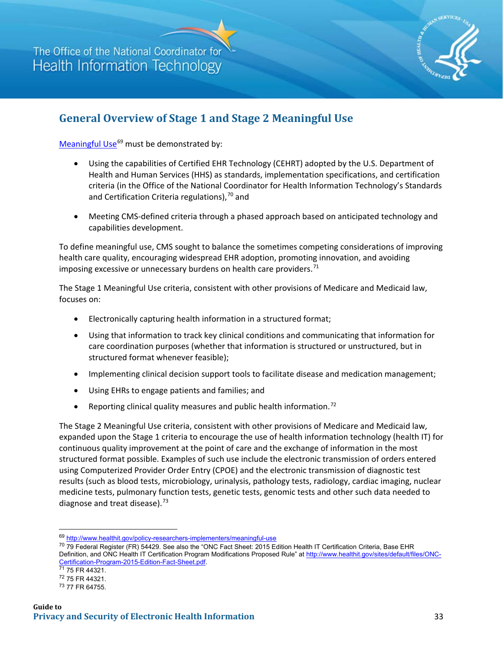

### **General Overview of Stage 1 and Stage 2 Meaningful Use**

[Meaningful Use](http://www.healthit.gov/policy-researchers-implementers/meaningful-use) $^{69}$  $^{69}$  $^{69}$  must be demonstrated by:

- Using the capabilities of Certified EHR Technology (CEHRT) adopted by the U.S. Department of Health and Human Services (HHS) as standards, implementation specifications, and certification criteria (in the Office of the National Coordinator for Health Information Technology's Standards and Certification Criteria regulations),  $70$  and
- Meeting CMS-defined criteria through a phased approach based on anticipated technology and capabilities development.

To define meaningful use, CMS sought to balance the sometimes competing considerations of improving health care quality, encouraging widespread EHR adoption, promoting innovation, and avoiding imposing excessive or unnecessary burdens on health care providers. $71$ 

The Stage 1 Meaningful Use criteria, consistent with other provisions of Medicare and Medicaid law, focuses on:

- Electronically capturing health information in a structured format;
- Using that information to track key clinical conditions and communicating that information for care coordination purposes (whether that information is structured or unstructured, but in structured format whenever feasible);
- Implementing clinical decision support tools to facilitate disease and medication management;
- Using EHRs to engage patients and families; and
- Reporting clinical quality measures and public health information.<sup>[72](#page-1-3)</sup>

The Stage 2 Meaningful Use criteria, consistent with other provisions of Medicare and Medicaid law, expanded upon the Stage 1 criteria to encourage the use of health information technology (health IT) for continuous quality improvement at the point of care and the exchange of information in the most structured format possible. Examples of such use include the electronic transmission of orders entered using Computerized Provider Order Entry (CPOE) and the electronic transmission of diagnostic test results (such as blood tests, microbiology, urinalysis, pathology tests, radiology, cardiac imaging, nuclear medicine tests, pulmonary function tests, genetic tests, genomic tests and other such data needed to diagnose and treat disease).<sup>[73](#page-1-4)</sup>

 $\overline{\phantom{a}}$ 

<span id="page-1-0"></span><sup>69</sup> <http://www.healthit.gov/policy-researchers-implementers/meaningful-use>

<span id="page-1-1"></span><sup>&</sup>lt;sup>70</sup> 79 Federal Register (FR) 54429. See also the "ONC Fact Sheet: 2015 Edition Health IT Certification Criteria, Base EHR Definition, and ONC Health IT Certification Program Modifications Proposed Rule" at [http://www.healthit.gov/sites/default/files/ONC-](http://www.healthit.gov/sites/default/files/ONC-Certification-Program-2015-Edition-Fact-Sheet.pdf)[Certification-Program-2015-Edition-Fact-Sheet.pdf.](http://www.healthit.gov/sites/default/files/ONC-Certification-Program-2015-Edition-Fact-Sheet.pdf) 71 75 FR 44321.

<span id="page-1-3"></span><span id="page-1-2"></span><sup>72 75</sup> FR 44321.

<span id="page-1-4"></span><sup>73 77</sup> FR 64755.